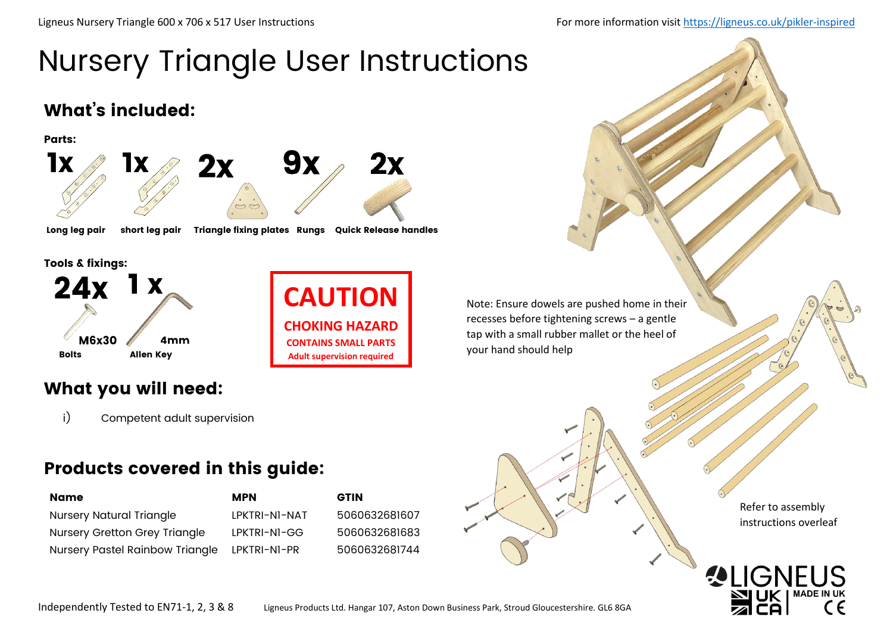# Nursery Triangle User Instructions

### What's included:



Long leg pair short leg pair Triangle fixing plates Rungs Quick Release handles

Tools & fixings:



**CAUTION CHOKING HAZARD CONTAINS SMALL PARTS Adult supervision required**

Note: Ensure dowels are pushed home in their recesses before tightening screws – a gentle tap with a small rubber mallet or the heel of your hand should help

### What you will need:

i) Competent adult supervision

### Products covered in this guide:

| Name                                   | <b>MPN</b>    | <b>GTIN</b> |
|----------------------------------------|---------------|-------------|
| <b>Nursery Natural Triangle</b>        | LPKTRI-NI-NAT | 5060        |
| <b>Nursery Gretton Grey Triangle</b>   | LPKTRI-NI-GG  | 5060        |
| <b>Nursery Pastel Rainbow Triangle</b> | LPKTRI-NI-PR  | 5060        |

5060632681607 5060632681683 5060632681744



Refer to assembly instructions overleaf